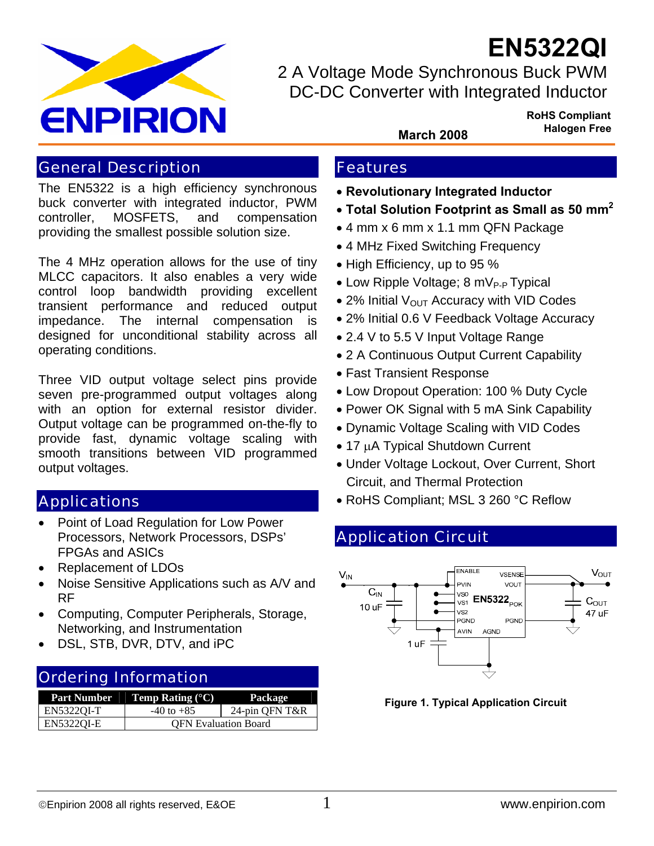

**EN5322QI**

2 A Voltage Mode Synchronous Buck PWM DC-DC Converter with Integrated Inductor

> **RoHS Compliant Halogen Free March 2008**

## General Description

The EN5322 is a high efficiency synchronous buck converter with integrated inductor, PWM controller, MOSFETS, and compensation providing the smallest possible solution size.

The 4 MHz operation allows for the use of tiny MLCC capacitors. It also enables a very wide control loop bandwidth providing excellent transient performance and reduced output impedance. The internal compensation is designed for unconditional stability across all operating conditions.

Three VID output voltage select pins provide seven pre-programmed output voltages along with an option for external resistor divider. Output voltage can be programmed on-the-fly to provide fast, dynamic voltage scaling with smooth transitions between VID programmed output voltages.

## Applications

- Point of Load Regulation for Low Power Processors, Network Processors, DSPs' FPGAs and ASICs
- Replacement of LDOs
- Noise Sensitive Applications such as A/V and RF
- Computing, Computer Peripherals, Storage, Networking, and Instrumentation
- DSL, STB, DVR, DTV, and iPC

## Ordering Information

| <b>Part Number</b> | <b>Temp Rating</b> $(^{\circ}C)$ | Package        |
|--------------------|----------------------------------|----------------|
| EN53220I-T         | $-40$ to $+85$                   | 24-pin QFN T&R |
| EN5322OI-E         | <b>OFN</b> Evaluation Board      |                |

## Features

- **Revolutionary Integrated Inductor**
- **Total Solution Footprint as Small as 50 mm2**
- 4 mm x 6 mm x 1.1 mm QFN Package
- 4 MHz Fixed Switching Frequency
- High Efficiency, up to 95 %
- Low Ripple Voltage;  $8 \text{ mV}_{P-P}$  Typical
- 2% Initial  $V_{\text{OUT}}$  Accuracy with VID Codes
- 2% Initial 0.6 V Feedback Voltage Accuracy
- 2.4 V to 5.5 V Input Voltage Range
- 2 A Continuous Output Current Capability
- Fast Transient Response
- Low Dropout Operation: 100 % Duty Cycle
- Power OK Signal with 5 mA Sink Capability
- Dynamic Voltage Scaling with VID Codes
- 17 µA Typical Shutdown Current
- Under Voltage Lockout, Over Current, Short Circuit, and Thermal Protection
- RoHS Compliant; MSL 3 260 °C Reflow

# Application Circuit



**Figure 1. Typical Application Circuit**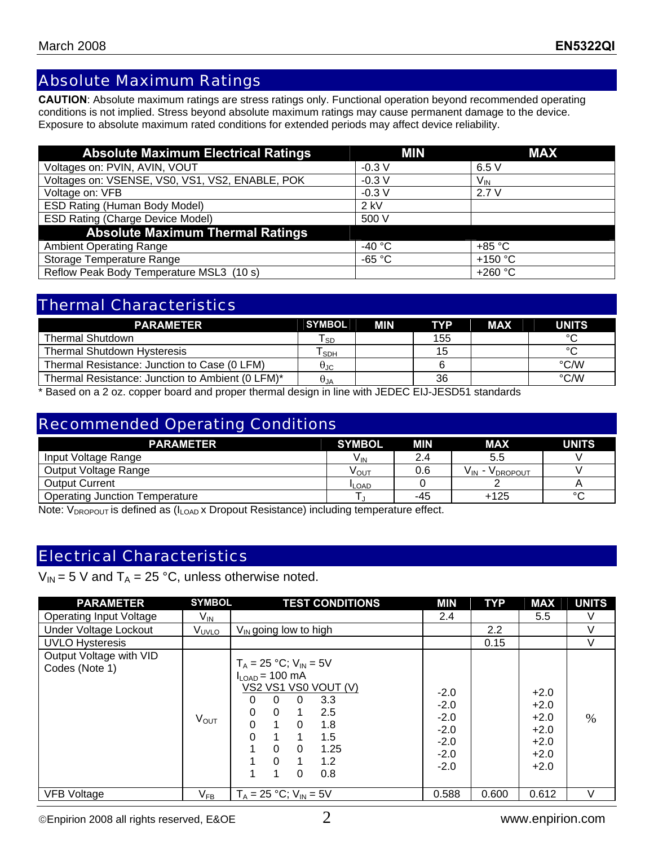## Absolute Maximum Ratings

**CAUTION**: Absolute maximum ratings are stress ratings only. Functional operation beyond recommended operating conditions is not implied. Stress beyond absolute maximum ratings may cause permanent damage to the device. Exposure to absolute maximum rated conditions for extended periods may affect device reliability.

| <b>Absolute Maximum Electrical Ratings</b>      | MIN              | <b>MAX</b>       |
|-------------------------------------------------|------------------|------------------|
| Voltages on: PVIN, AVIN, VOUT                   | $-0.3 V$         | 6.5V             |
| Voltages on: VSENSE, VS0, VS1, VS2, ENABLE, POK | $-0.3 V$         | $V_{IN}$         |
| Voltage on: VFB                                 | $-0.3V$          | 2.7V             |
| ESD Rating (Human Body Model)                   | $2$ kV           |                  |
| <b>ESD Rating (Charge Device Model)</b>         | 500 V            |                  |
| <b>Absolute Maximum Thermal Ratings</b>         |                  |                  |
| <b>Ambient Operating Range</b>                  | -40 $^{\circ}$ C | $+85 °C$         |
| Storage Temperature Range                       | $-65 °C$         | +150 $\degree$ C |
| Reflow Peak Body Temperature MSL3 (10 s)        |                  | +260 °C          |

# Thermal Characteristics

| <b>PARAMETER</b>                                                                                                               | <b>SYMBOL</b> | <b>MIN</b> | <b>TYP</b> | <b>MAX</b> | <b>UNITS</b>       |
|--------------------------------------------------------------------------------------------------------------------------------|---------------|------------|------------|------------|--------------------|
| <b>Thermal Shutdown</b>                                                                                                        | <b>SD</b>     |            | 155        |            | $\sim$             |
| <b>Thermal Shutdown Hysteresis</b>                                                                                             | SDH           |            | 15         |            | $\sim$             |
| Thermal Resistance: Junction to Case (0 LFM)                                                                                   | ⊎JC           |            |            |            | $\rm ^{\circ}$ C/W |
| Thermal Resistance: Junction to Ambient (0 LFM)*                                                                               | $\theta_{JA}$ |            | 36         |            | $\rm ^{\circ}$ C/W |
| .<br>the contract of the contract of the contract of the contract of the contract of the contract of the contract of<br>______ | .             | .          |            |            |                    |

\* Based on a 2 oz. copper board and proper thermal design in line with JEDEC EIJ-JESD51 standards

### Recommended Operating Conditions

| <b>PARAMETER</b>                      | <b>SYMBOL</b>   | MIN | <b>MAX</b>               | <b>UNITS</b> |
|---------------------------------------|-----------------|-----|--------------------------|--------------|
| Input Voltage Range                   | V <sub>IN</sub> | 2.4 | 5.5                      |              |
| Output Voltage Range                  | νουτ            | 0.6 | <b>V</b> DROPOUT<br>V IN |              |
| <b>Output Current</b>                 | <b>ILOAD</b>    |     |                          |              |
| <b>Operating Junction Temperature</b> |                 | -45 | $+125$                   | $\sim$       |

Note:  $V_{DROPOUT}$  is defined as ( $I_{LOAD}$  x Dropout Resistance) including temperature effect.

## Electrical Characteristics

 $V_{IN}$  = 5 V and T<sub>A</sub> = 25 °C, unless otherwise noted.

| <b>PARAMETER</b>                          | <b>SYMBOL</b>              | <b>TEST CONDITIONS</b>                                                                                                                                                                                                                                                                   | MIN                                                                | <b>TYP</b> | <b>MAX</b>                                                         | <b>UNITS</b> |
|-------------------------------------------|----------------------------|------------------------------------------------------------------------------------------------------------------------------------------------------------------------------------------------------------------------------------------------------------------------------------------|--------------------------------------------------------------------|------------|--------------------------------------------------------------------|--------------|
| <b>Operating Input Voltage</b>            | $V_{\text{IN}}$            |                                                                                                                                                                                                                                                                                          | 2.4                                                                |            | 5.5                                                                | V            |
| Under Voltage Lockout                     | V <sub>UVLO</sub>          | $V_{IN}$ going low to high                                                                                                                                                                                                                                                               |                                                                    | 2.2        |                                                                    | $\vee$       |
| <b>UVLO Hysteresis</b>                    |                            |                                                                                                                                                                                                                                                                                          |                                                                    | 0.15       |                                                                    | $\vee$       |
| Output Voltage with VID<br>Codes (Note 1) | $V_{\rm OUT}$              | $T_A = 25 °C$ ; $V_{IN} = 5V$<br>$I_{\text{LOAD}}$ = 100 mA<br>VS2 VS1 VS0 VOUT (V)<br>$\Omega$<br>3.3<br>$\Omega$<br>0<br>$\Omega$<br>2.5<br>$\Omega$<br>1.<br>$\Omega$<br>$\Omega$<br>1.8<br>$\Omega$<br>1.5<br>1<br>1.25<br>$\Omega$<br>$\Omega$<br>1.2<br>$\Omega$<br>1.<br>0<br>0.8 | $-2.0$<br>$-2.0$<br>$-2.0$<br>$-2.0$<br>$-2.0$<br>$-2.0$<br>$-2.0$ |            | $+2.0$<br>$+2.0$<br>$+2.0$<br>$+2.0$<br>$+2.0$<br>$+2.0$<br>$+2.0$ | $\%$         |
| <b>VFB Voltage</b>                        | $\mathsf{V}_{\mathsf{FB}}$ | $T_A = 25 °C$ ; $V_{IN} = 5V$                                                                                                                                                                                                                                                            | 0.588                                                              | 0.600      | 0.612                                                              | $\vee$       |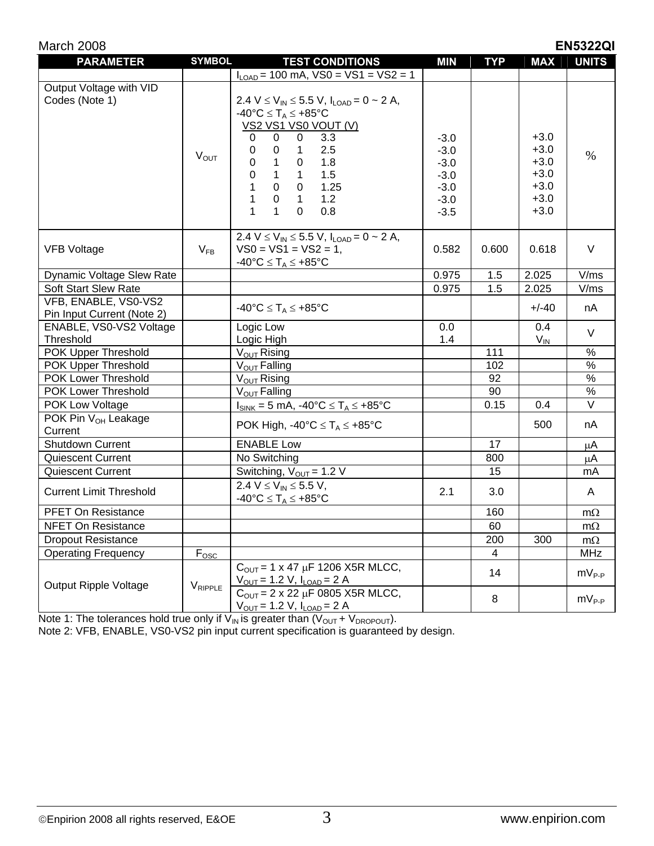| March 2008<br><b>EN5322QI</b>                      |                  |                                                                                                                                                                                                                                                                                                                                                                                                                                                             |                                                                    |            |                                                                    |               |
|----------------------------------------------------|------------------|-------------------------------------------------------------------------------------------------------------------------------------------------------------------------------------------------------------------------------------------------------------------------------------------------------------------------------------------------------------------------------------------------------------------------------------------------------------|--------------------------------------------------------------------|------------|--------------------------------------------------------------------|---------------|
| <b>PARAMETER</b>                                   | <b>SYMBOL</b>    | <b>TEST CONDITIONS</b>                                                                                                                                                                                                                                                                                                                                                                                                                                      | <b>MIN</b>                                                         | <b>TYP</b> | <b>MAX</b>                                                         | <b>UNITS</b>  |
|                                                    |                  | $I_{\text{LOAD}}$ = 100 mA, VS0 = VS1 = VS2 = 1                                                                                                                                                                                                                                                                                                                                                                                                             |                                                                    |            |                                                                    |               |
| Output Voltage with VID<br>Codes (Note 1)          | $V_{OUT}$        | 2.4 V $\leq$ V <sub>IN</sub> $\leq$ 5.5 V, I <sub>LOAD</sub> = 0 $\sim$ 2 A,<br>$-40^{\circ}C \leq T_A \leq +85^{\circ}C$<br><b>VS2 VS1 VS0 VOUT (V)</b><br>$\mathbf 0$<br>$\mathbf 0$<br>0<br>3.3<br>2.5<br>$\mathbf 0$<br>1<br>0<br>$\mathbf{1}$<br>1.8<br>$\pmb{0}$<br>$\pmb{0}$<br>$\pmb{0}$<br>$\mathbf{1}$<br>1.5<br>$\mathbf{1}$<br>1<br>$\mathbf 0$<br>1.25<br>0<br>$\mathbf{1}$<br>1.2<br>$\mathbf 0$<br>$\mathbf{1}$<br>0.8<br>1<br>1<br>$\Omega$ | $-3.0$<br>$-3.0$<br>$-3.0$<br>$-3.0$<br>$-3.0$<br>$-3.0$<br>$-3.5$ |            | $+3.0$<br>$+3.0$<br>$+3.0$<br>$+3.0$<br>$+3.0$<br>$+3.0$<br>$+3.0$ | $\%$          |
| <b>VFB Voltage</b>                                 | $V_{FB}$         | 2.4 V $\leq$ V <sub>IN</sub> $\leq$ 5.5 V, I <sub>LOAD</sub> = 0 $\sim$ 2 A,<br>$VSO = VS1 = VS2 = 1,$<br>$-40^{\circ}C \leq T_A \leq +85^{\circ}C$                                                                                                                                                                                                                                                                                                         | 0.582                                                              | 0.600      | 0.618                                                              | V             |
| Dynamic Voltage Slew Rate                          |                  |                                                                                                                                                                                                                                                                                                                                                                                                                                                             | 0.975                                                              | 1.5        | 2.025                                                              | V/ms          |
| <b>Soft Start Slew Rate</b>                        |                  |                                                                                                                                                                                                                                                                                                                                                                                                                                                             | 0.975                                                              | 1.5        | 2.025                                                              | V/ms          |
| VFB, ENABLE, VS0-VS2<br>Pin Input Current (Note 2) |                  | $-40^{\circ}C \leq T_A \leq +85^{\circ}C$                                                                                                                                                                                                                                                                                                                                                                                                                   |                                                                    |            | $+/-40$                                                            | nA            |
| ENABLE, VS0-VS2 Voltage<br>Threshold               |                  | Logic Low<br>Logic High                                                                                                                                                                                                                                                                                                                                                                                                                                     | 0.0<br>1.4                                                         |            | 0.4<br>$V_{IN}$                                                    | $\vee$        |
| POK Upper Threshold                                |                  | $V_{OUT}$ Rising                                                                                                                                                                                                                                                                                                                                                                                                                                            |                                                                    | 111        |                                                                    | $\%$          |
| POK Upper Threshold                                |                  | V <sub>OUT</sub> Falling                                                                                                                                                                                                                                                                                                                                                                                                                                    |                                                                    | 102        |                                                                    | $\frac{8}{6}$ |
| POK Lower Threshold                                |                  | V <sub>OUT</sub> Rising                                                                                                                                                                                                                                                                                                                                                                                                                                     |                                                                    | 92         |                                                                    | $\%$          |
| POK Lower Threshold                                |                  | V <sub>OUT</sub> Falling                                                                                                                                                                                                                                                                                                                                                                                                                                    |                                                                    | 90         |                                                                    | $\%$          |
| POK Low Voltage                                    |                  | $I_{SINK} = 5$ mA, $-40^{\circ}C \leq T_A \leq +85^{\circ}C$                                                                                                                                                                                                                                                                                                                                                                                                |                                                                    | 0.15       | 0.4                                                                | $\vee$        |
| POK Pin V <sub>OH</sub> Leakage<br>Current         |                  | POK High, -40°C $\leq$ T <sub>A</sub> $\leq$ +85°C                                                                                                                                                                                                                                                                                                                                                                                                          |                                                                    |            | 500                                                                | nA            |
| Shutdown Current                                   |                  | <b>ENABLE Low</b>                                                                                                                                                                                                                                                                                                                                                                                                                                           |                                                                    | 17         |                                                                    | μA            |
| <b>Quiescent Current</b>                           |                  | No Switching                                                                                                                                                                                                                                                                                                                                                                                                                                                |                                                                    | 800        |                                                                    | μA            |
| <b>Quiescent Current</b>                           |                  | Switching, $V_{OUT} = 1.2 V$                                                                                                                                                                                                                                                                                                                                                                                                                                |                                                                    | 15         |                                                                    | mA            |
| <b>Current Limit Threshold</b>                     |                  | 2.4 $V \le V_{IN} \le 5.5 V$ ,<br>$-40^{\circ}C \leq T_A \leq +85^{\circ}C$                                                                                                                                                                                                                                                                                                                                                                                 | 2.1                                                                | 3.0        |                                                                    | A             |
| <b>PFET On Resistance</b>                          |                  |                                                                                                                                                                                                                                                                                                                                                                                                                                                             |                                                                    | 160        |                                                                    | $m\Omega$     |
| <b>NFET On Resistance</b>                          |                  |                                                                                                                                                                                                                                                                                                                                                                                                                                                             |                                                                    | 60         |                                                                    | $m\Omega$     |
| <b>Dropout Resistance</b>                          |                  |                                                                                                                                                                                                                                                                                                                                                                                                                                                             |                                                                    | 200        | 300                                                                | $m\Omega$     |
| <b>Operating Frequency</b>                         | $F_{\text{OSC}}$ |                                                                                                                                                                                                                                                                                                                                                                                                                                                             |                                                                    | 4          |                                                                    | MHz           |
|                                                    |                  | $C_{\text{OUT}} = 1 \times 47 \mu F 1206 X5R M LCC,$<br>$V_{OUT} = 1.2 V, I_{LOAD} = 2 A$                                                                                                                                                                                                                                                                                                                                                                   |                                                                    | 14         |                                                                    | $mV_{P-P}$    |
| <b>Output Ripple Voltage</b>                       | VRIPPLE          | $C_{\text{OUT}} = 2 \times 22 \mu F$ 0805 X5R MLCC,<br>$V_{OUT} = 1.2 V, I_{LOAD} = 2 A$                                                                                                                                                                                                                                                                                                                                                                    |                                                                    | 8          |                                                                    | $mV_{P-P}$    |

Note 1: The tolerances hold true only if  $V_{\text{IN}}$  is greater than  $(V_{\text{OUT}} + V_{\text{DROPOUT}})$ .

Note 2: VFB, ENABLE, VS0-VS2 pin input current specification is guaranteed by design.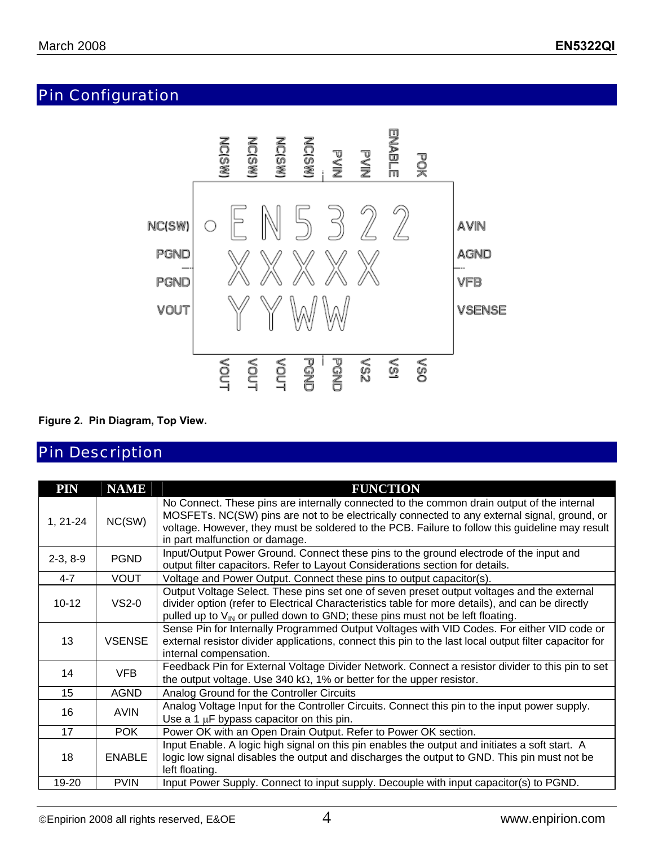# Pin Configuration



#### **Figure 2. Pin Diagram, Top View.**

## Pin Description

| <b>PIN</b> | <b>NAME</b>   | <b>FUNCTION</b>                                                                                                                                                                                                                                                                                                                 |
|------------|---------------|---------------------------------------------------------------------------------------------------------------------------------------------------------------------------------------------------------------------------------------------------------------------------------------------------------------------------------|
| $1, 21-24$ | NC(SW)        | No Connect. These pins are internally connected to the common drain output of the internal<br>MOSFETs. NC(SW) pins are not to be electrically connected to any external signal, ground, or<br>voltage. However, they must be soldered to the PCB. Failure to follow this guideline may result<br>in part malfunction or damage. |
| $2-3, 8-9$ | <b>PGND</b>   | Input/Output Power Ground. Connect these pins to the ground electrode of the input and<br>output filter capacitors. Refer to Layout Considerations section for details.                                                                                                                                                         |
| $4 - 7$    | <b>VOUT</b>   | Voltage and Power Output. Connect these pins to output capacitor(s).                                                                                                                                                                                                                                                            |
| $10 - 12$  | $VS2-0$       | Output Voltage Select. These pins set one of seven preset output voltages and the external<br>divider option (refer to Electrical Characteristics table for more details), and can be directly<br>pulled up to $V_{IN}$ or pulled down to GND; these pins must not be left floating.                                            |
| 13         | <b>VSENSE</b> | Sense Pin for Internally Programmed Output Voltages with VID Codes. For either VID code or<br>external resistor divider applications, connect this pin to the last local output filter capacitor for<br>internal compensation.                                                                                                  |
| 14         | <b>VFB</b>    | Feedback Pin for External Voltage Divider Network. Connect a resistor divider to this pin to set<br>the output voltage. Use 340 k $\Omega$ , 1% or better for the upper resistor.                                                                                                                                               |
| 15         | <b>AGND</b>   | Analog Ground for the Controller Circuits                                                                                                                                                                                                                                                                                       |
| 16         | <b>AVIN</b>   | Analog Voltage Input for the Controller Circuits. Connect this pin to the input power supply.<br>Use a 1 $\mu$ F bypass capacitor on this pin.                                                                                                                                                                                  |
| 17         | <b>POK</b>    | Power OK with an Open Drain Output. Refer to Power OK section.                                                                                                                                                                                                                                                                  |
| 18         | <b>ENABLE</b> | Input Enable. A logic high signal on this pin enables the output and initiates a soft start. A<br>logic low signal disables the output and discharges the output to GND. This pin must not be<br>left floating.                                                                                                                 |
| 19-20      | <b>PVIN</b>   | Input Power Supply. Connect to input supply. Decouple with input capacitor(s) to PGND.                                                                                                                                                                                                                                          |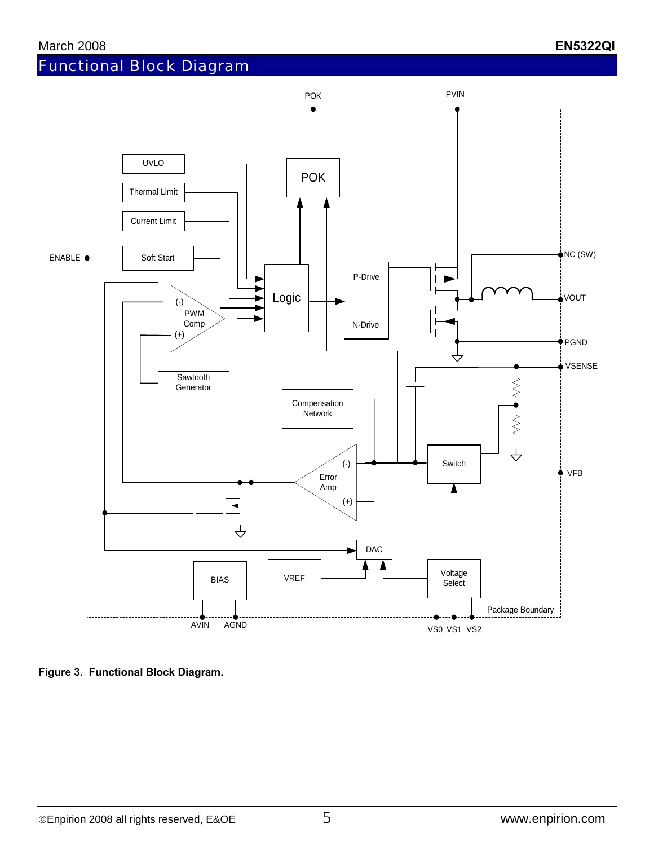

**Figure 3. Functional Block Diagram.**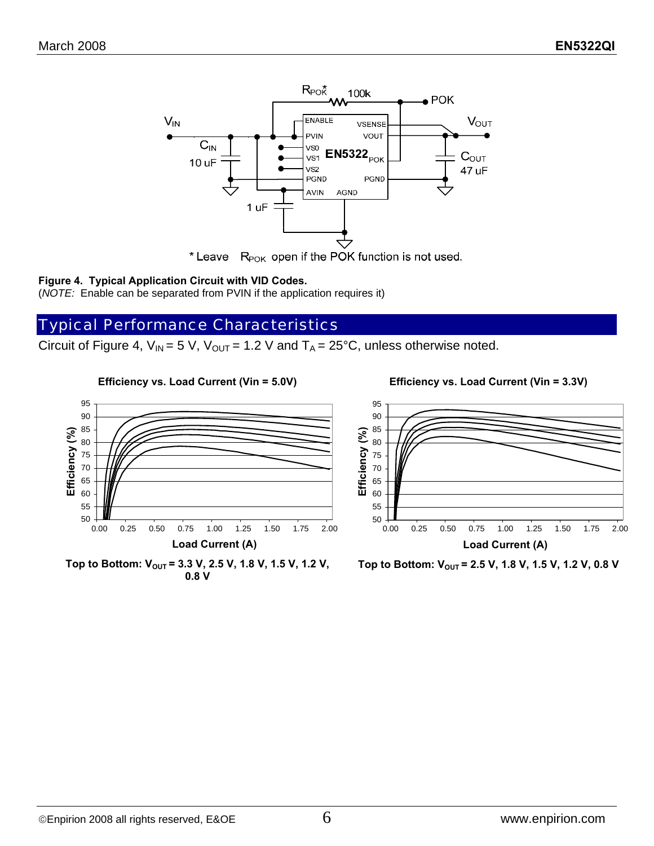

\* Leave  $R_{POK}$  open if the POK function is not used.

#### **Figure 4. Typical Application Circuit with VID Codes.**

(*NOTE:* Enable can be separated from PVIN if the application requires it)

## Typical Performance Characteristics

**Efficiency vs. Load Current (Vin = 5.0V)**

Circuit of Figure 4,  $V_{IN}$  = 5 V,  $V_{OUT}$  = 1.2 V and  $T_A$  = 25°C, unless otherwise noted.



**Efficiency vs. Load Current (Vin = 3.3V)**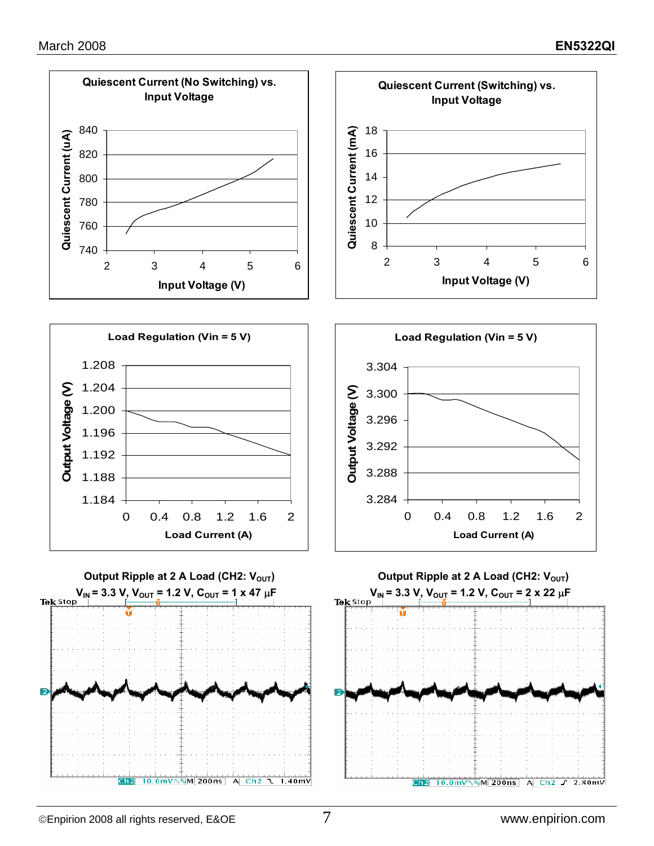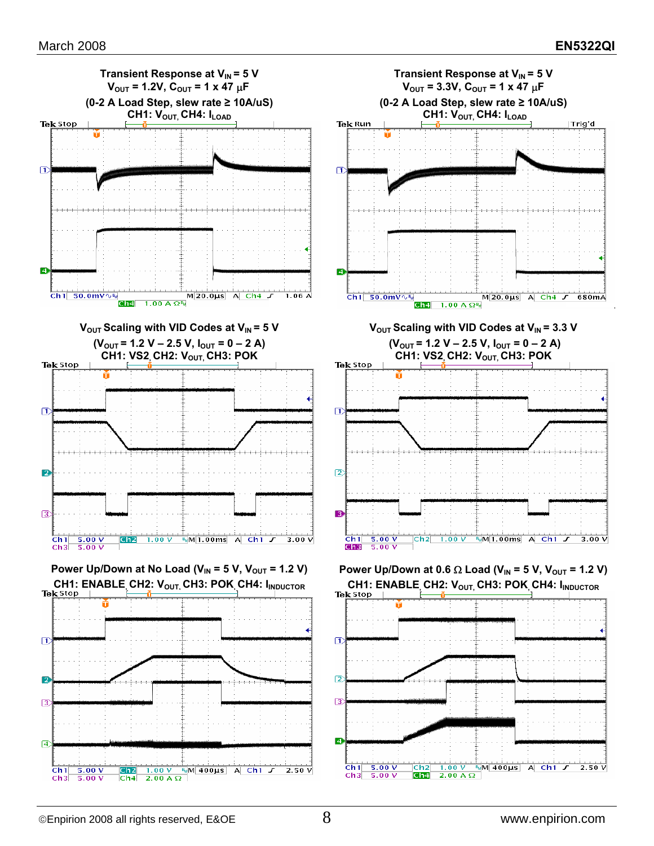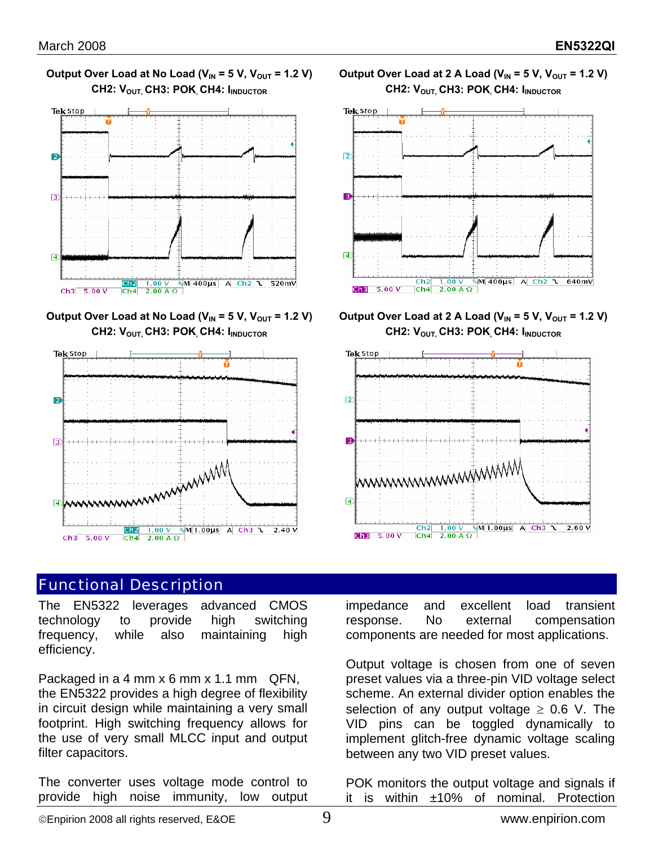



Output Over Load at No Load ( $V_{IN}$  = 5 V,  $V_{OUT}$  = 1.2 V) CH2: V<sub>OUT,</sub> CH3: POK<sub>,</sub> CH4: I<sub>INDUCTOR</sub>



## Functional Description

The EN5322 leverages advanced CMOS technology to provide high switching frequency, while also maintaining high efficiency.

Packaged in a 4 mm x 6 mm x 1.1 mm QFN, the EN5322 provides a high degree of flexibility in circuit design while maintaining a very small footprint. High switching frequency allows for the use of very small MLCC input and output filter capacitors.

The converter uses voltage mode control to provide high noise immunity, low output





Output Over Load at 2 A Load ( $V_{IN}$  = 5 V,  $V_{OUT}$  = 1.2 V) CH2: V<sub>OUT,</sub> CH3: POK, CH4: I<sub>INDUCTOR</sub>



impedance and excellent load transient response. No external compensation components are needed for most applications.

Output voltage is chosen from one of seven preset values via a three-pin VID voltage select scheme. An external divider option enables the selection of any output voltage  $\geq$  0.6 V. The VID pins can be toggled dynamically to implement glitch-free dynamic voltage scaling between any two VID preset values.

POK monitors the output voltage and signals if it is within ±10% of nominal. Protection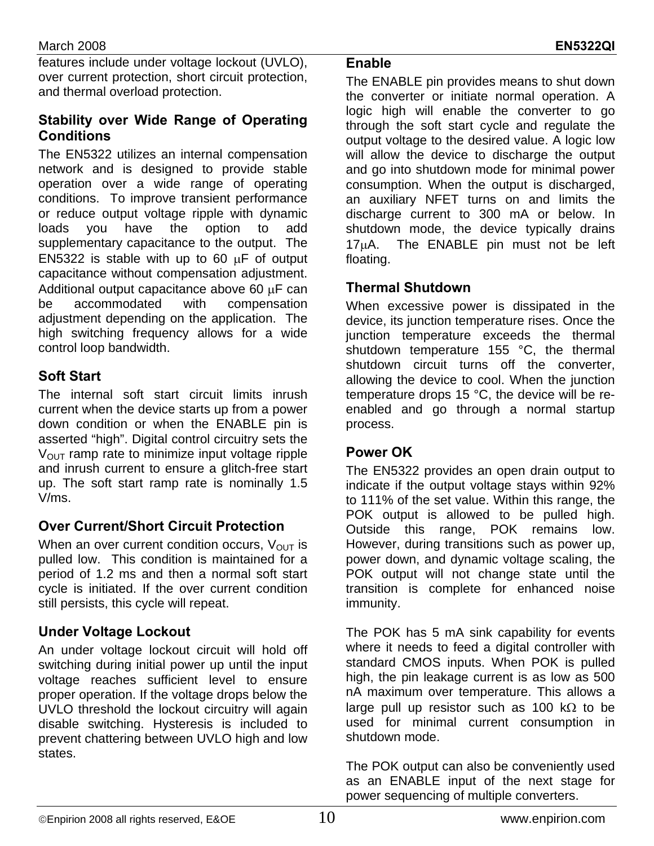features include under voltage lockout (UVLO), over current protection, short circuit protection, and thermal overload protection.

### **Stability over Wide Range of Operating Conditions**

The EN5322 utilizes an internal compensation network and is designed to provide stable operation over a wide range of operating conditions. To improve transient performance or reduce output voltage ripple with dynamic loads you have the option to add supplementary capacitance to the output. The EN5322 is stable with up to 60  $\mu$ F of output capacitance without compensation adjustment. Additional output capacitance above 60 µF can be accommodated with compensation adjustment depending on the application. The high switching frequency allows for a wide control loop bandwidth.

## **Soft Start**

The internal soft start circuit limits inrush current when the device starts up from a power down condition or when the ENABLE pin is asserted "high". Digital control circuitry sets the  $V<sub>OUT</sub>$  ramp rate to minimize input voltage ripple and inrush current to ensure a glitch-free start up. The soft start ramp rate is nominally 1.5 V/ms.

### **Over Current/Short Circuit Protection**

When an over current condition occurs,  $V_{\text{OUT}}$  is pulled low. This condition is maintained for a period of 1.2 ms and then a normal soft start cycle is initiated. If the over current condition still persists, this cycle will repeat.

An under voltage lockout circuit will hold off switching during initial power up until the input voltage reaches sufficient level to ensure proper operation. If the voltage drops below the UVLO threshold the lockout circuitry will again disable switching. Hysteresis is included to prevent chattering between UVLO high and low states.

#### **Enable**

The ENABLE pin provides means to shut down the converter or initiate normal operation. A logic high will enable the converter to go through the soft start cycle and regulate the output voltage to the desired value. A logic low will allow the device to discharge the output and go into shutdown mode for minimal power consumption. When the output is discharged, an auxiliary NFET turns on and limits the discharge current to 300 mA or below. In shutdown mode, the device typically drains 17µA. The ENABLE pin must not be left floating.

### **Thermal Shutdown**

When excessive power is dissipated in the device, its junction temperature rises. Once the junction temperature exceeds the thermal shutdown temperature 155 °C, the thermal shutdown circuit turns off the converter, allowing the device to cool. When the junction temperature drops 15 °C, the device will be reenabled and go through a normal startup process.

### **Power OK**

The EN5322 provides an open drain output to indicate if the output voltage stays within 92% to 111% of the set value. Within this range, the POK output is allowed to be pulled high. Outside this range, POK remains low. However, during transitions such as power up, power down, and dynamic voltage scaling, the POK output will not change state until the transition is complete for enhanced noise immunity.

**Under Voltage Lockout** The POK has 5 mA sink capability for events where it needs to feed a digital controller with standard CMOS inputs. When POK is pulled high, the pin leakage current is as low as 500 nA maximum over temperature. This allows a large pull up resistor such as 100 k $\Omega$  to be used for minimal current consumption in shutdown mode.

> The POK output can also be conveniently used as an ENABLE input of the next stage for power sequencing of multiple converters.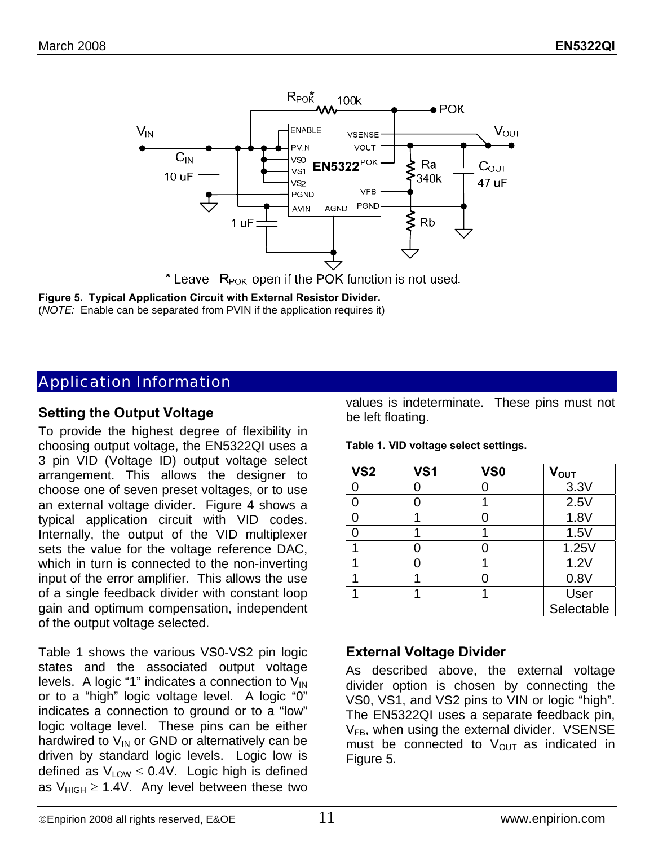

\* Leave  $R_{POK}$  open if the POK function is not used.

**Figure 5. Typical Application Circuit with External Resistor Divider.**  (*NOTE:* Enable can be separated from PVIN if the application requires it)

## Application Information

#### **Setting the Output Voltage**

To provide the highest degree of flexibility in choosing output voltage, the EN5322QI uses a 3 pin VID (Voltage ID) output voltage select arrangement. This allows the designer to choose one of seven preset voltages, or to use an external voltage divider. Figure 4 shows a typical application circuit with VID codes. Internally, the output of the VID multiplexer sets the value for the voltage reference DAC, which in turn is connected to the non-inverting input of the error amplifier. This allows the use of a single feedback divider with constant loop gain and optimum compensation, independent of the output voltage selected.

Table 1 shows the various VS0-VS2 pin logic states and the associated output voltage levels. A logic "1" indicates a connection to  $V_{\text{IN}}$ or to a "high" logic voltage level. A logic "0" indicates a connection to ground or to a "low" logic voltage level. These pins can be either hardwired to  $V_{IN}$  or GND or alternatively can be driven by standard logic levels. Logic low is defined as  $V_{LOW} \leq 0.4V$ . Logic high is defined as  $V_{HIGH} \ge 1.4V$ . Any level between these two values is indeterminate. These pins must not be left floating.

**Table 1. VID voltage select settings.** 

| VS <sub>2</sub> | VS <sub>1</sub> | VS <sub>0</sub> | V <sub>OUT</sub> |
|-----------------|-----------------|-----------------|------------------|
|                 | ი               | C               | 3.3V             |
|                 | 0               | 1               | 2.5V             |
| ∩               |                 | Ω               | 1.8V             |
|                 |                 | ٩               | 1.5V             |
|                 | 0               | Ω               | 1.25V            |
|                 | ი               |                 | 1.2V             |
|                 |                 | Ω               | 0.8V             |
|                 |                 | 4               | User             |
|                 |                 |                 | Selectable       |

#### **External Voltage Divider**

As described above, the external voltage divider option is chosen by connecting the VS0, VS1, and VS2 pins to VIN or logic "high". The EN5322QI uses a separate feedback pin,  $V_{FB}$ , when using the external divider. VSENSE must be connected to  $V_{\text{OUT}}$  as indicated in Figure 5.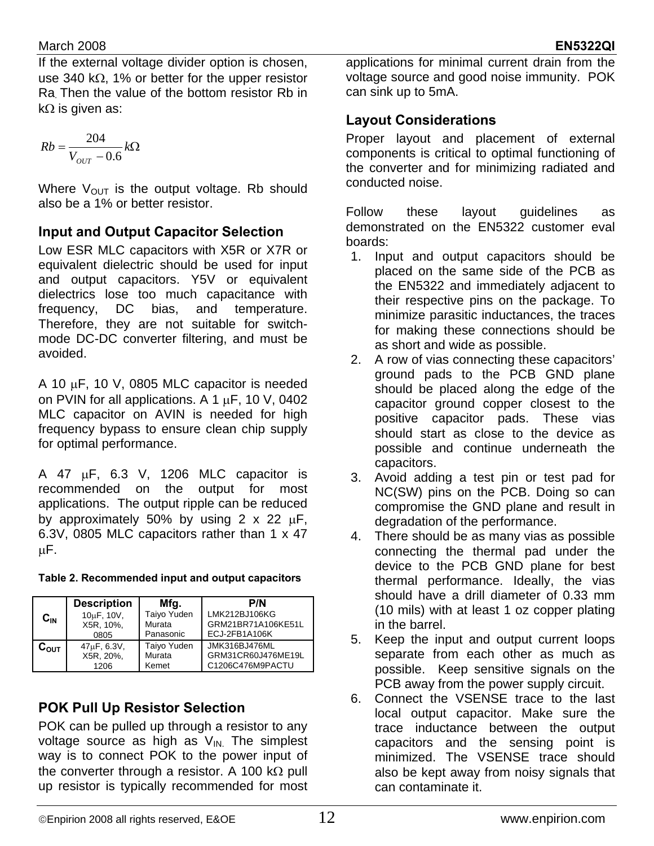If the external voltage divider option is chosen, use 340 kΩ, 1% or better for the upper resistor Ra. Then the value of the bottom resistor Rb in kΩ is given as:

$$
Rb = \frac{204}{V_{OUT} - 0.6}k\Omega
$$

Where  $V_{\text{OUT}}$  is the output voltage. Rb should also be a 1% or better resistor.

## **Input and Output Capacitor Selection**

Low ESR MLC capacitors with X5R or X7R or equivalent dielectric should be used for input and output capacitors. Y5V or equivalent dielectrics lose too much capacitance with frequency, DC bias, and temperature. Therefore, they are not suitable for switchmode DC-DC converter filtering, and must be avoided.

A 10  $\mu$ F, 10 V, 0805 MLC capacitor is needed on PVIN for all applications. A 1  $\mu$ F, 10 V, 0402 MLC capacitor on AVIN is needed for high frequency bypass to ensure clean chip supply for optimal performance.

A 47 µF, 6.3 V, 1206 MLC capacitor is recommended on the output for most applications. The output ripple can be reduced by approximately 50% by using  $2 \times 22 \mu F$ , 6.3V, 0805 MLC capacitors rather than 1 x 47 µF.

|                    | <b>Description</b>                   | Mfg.        | P/N                |
|--------------------|--------------------------------------|-------------|--------------------|
| $\mathtt{C_{IN}}$  | 10 <sub>u</sub> F, 10 <sub>V</sub> , | Taiyo Yuden | LMK212BJ106KG      |
|                    | X5R, 10%,                            | Murata      | GRM21BR71A106KE51L |
|                    | 0805                                 | Panasonic   | ECJ-2FB1A106K      |
| $\mathtt{C_{OUT}}$ | $47\mu$ F, 6.3V,                     | Taiyo Yuden | JMK316BJ476ML      |
|                    | X5R, 20%,                            | Murata      | GRM31CR60J476ME19L |
|                    | 1206                                 | Kemet       | C1206C476M9PACTU   |

# **POK Pull Up Resistor Selection**

POK can be pulled up through a resistor to any voltage source as high as  $V_{IN}$ . The simplest way is to connect POK to the power input of the converter through a resistor. A 100 kΩ pull up resistor is typically recommended for most

applications for minimal current drain from the voltage source and good noise immunity. POK can sink up to 5mA.

## **Layout Considerations**

Proper layout and placement of external components is critical to optimal functioning of the converter and for minimizing radiated and conducted noise.

Follow these layout guidelines as demonstrated on the EN5322 customer eval boards:

- 1. Input and output capacitors should be placed on the same side of the PCB as the EN5322 and immediately adjacent to their respective pins on the package. To minimize parasitic inductances, the traces for making these connections should be as short and wide as possible.
- 2. A row of vias connecting these capacitors' ground pads to the PCB GND plane should be placed along the edge of the capacitor ground copper closest to the positive capacitor pads. These vias should start as close to the device as possible and continue underneath the capacitors.
- 3. Avoid adding a test pin or test pad for NC(SW) pins on the PCB. Doing so can compromise the GND plane and result in degradation of the performance.
- 4. There should be as many vias as possible connecting the thermal pad under the device to the PCB GND plane for best thermal performance. Ideally, the vias should have a drill diameter of 0.33 mm (10 mils) with at least 1 oz copper plating in the barrel.
- 5. Keep the input and output current loops separate from each other as much as possible. Keep sensitive signals on the PCB away from the power supply circuit.
- 6. Connect the VSENSE trace to the last local output capacitor. Make sure the trace inductance between the output capacitors and the sensing point is minimized. The VSENSE trace should also be kept away from noisy signals that can contaminate it.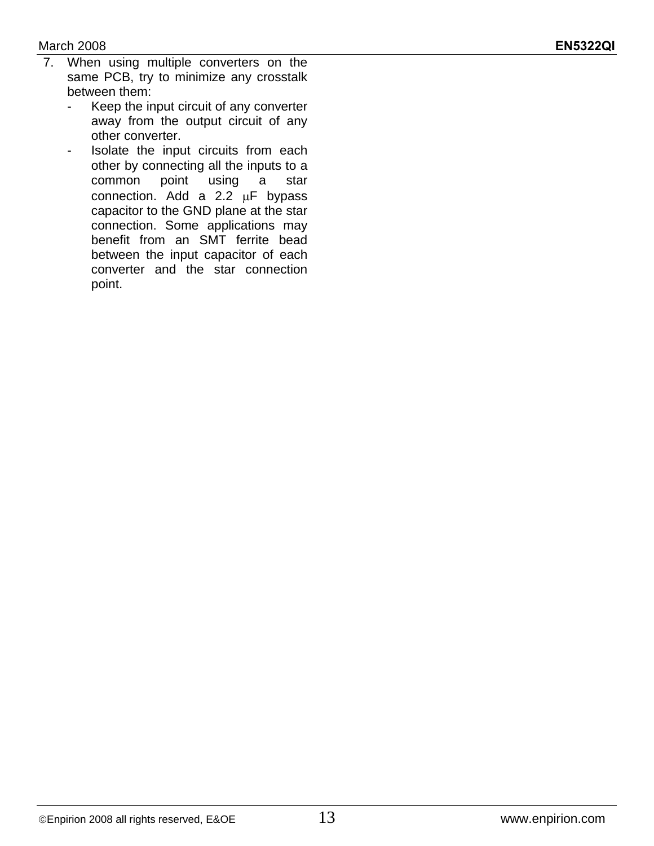#### March 2008 **EN5322QI**

- 7. When using multiple converters on the same PCB, try to minimize any crosstalk between them:
	- Keep the input circuit of any converter away from the output circuit of any other converter.
	- Isolate the input circuits from each other by connecting all the inputs to a common point using a star connection. Add a 2.2 µF bypass capacitor to the GND plane at the star connection. Some applications may benefit from an SMT ferrite bead between the input capacitor of each converter and the star connection point.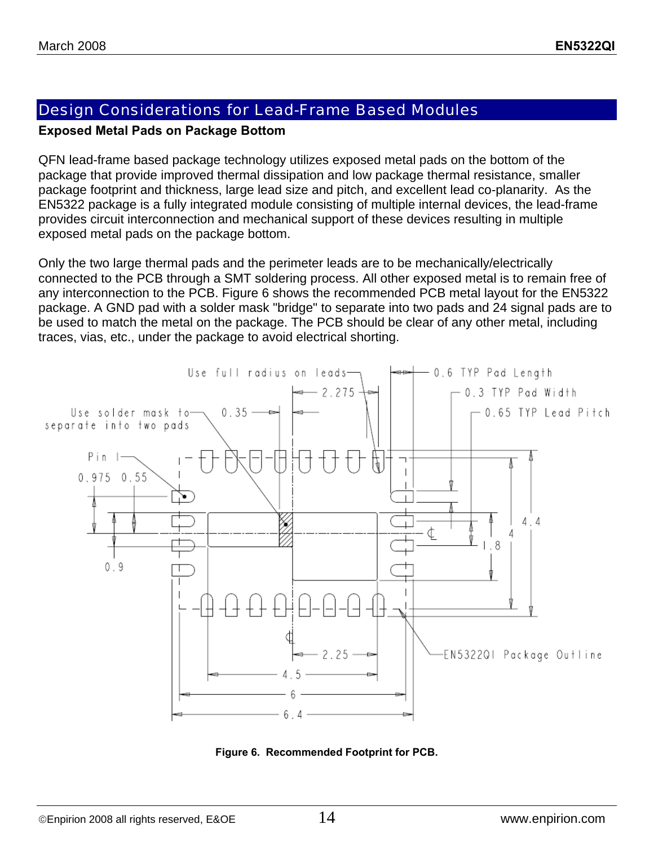# Design Considerations for Lead-Frame Based Modules

#### **Exposed Metal Pads on Package Bottom**

QFN lead-frame based package technology utilizes exposed metal pads on the bottom of the package that provide improved thermal dissipation and low package thermal resistance, smaller package footprint and thickness, large lead size and pitch, and excellent lead co-planarity. As the EN5322 package is a fully integrated module consisting of multiple internal devices, the lead-frame provides circuit interconnection and mechanical support of these devices resulting in multiple exposed metal pads on the package bottom.

Only the two large thermal pads and the perimeter leads are to be mechanically/electrically connected to the PCB through a SMT soldering process. All other exposed metal is to remain free of any interconnection to the PCB. Figure 6 shows the recommended PCB metal layout for the EN5322 package. A GND pad with a solder mask "bridge" to separate into two pads and 24 signal pads are to be used to match the metal on the package. The PCB should be clear of any other metal, including traces, vias, etc., under the package to avoid electrical shorting.



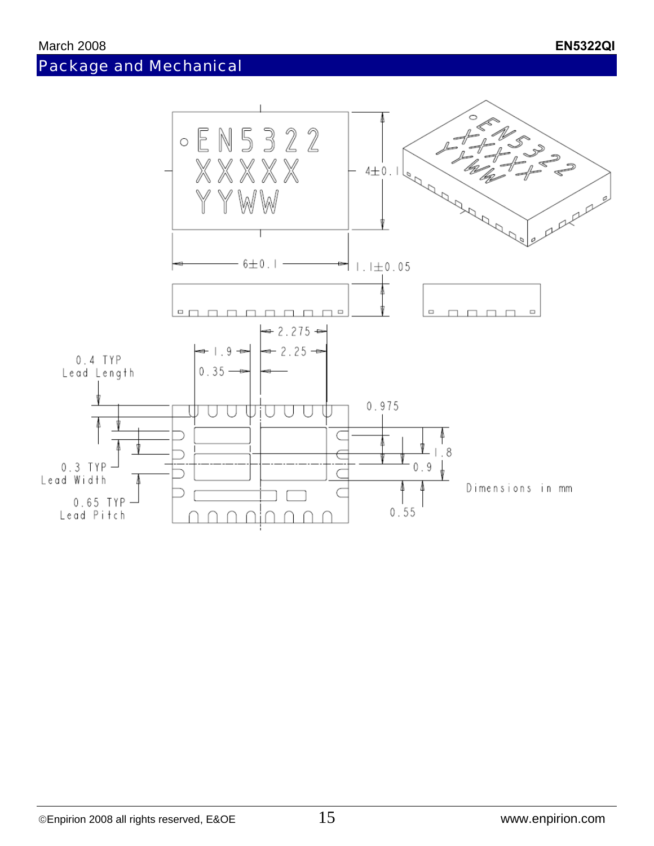